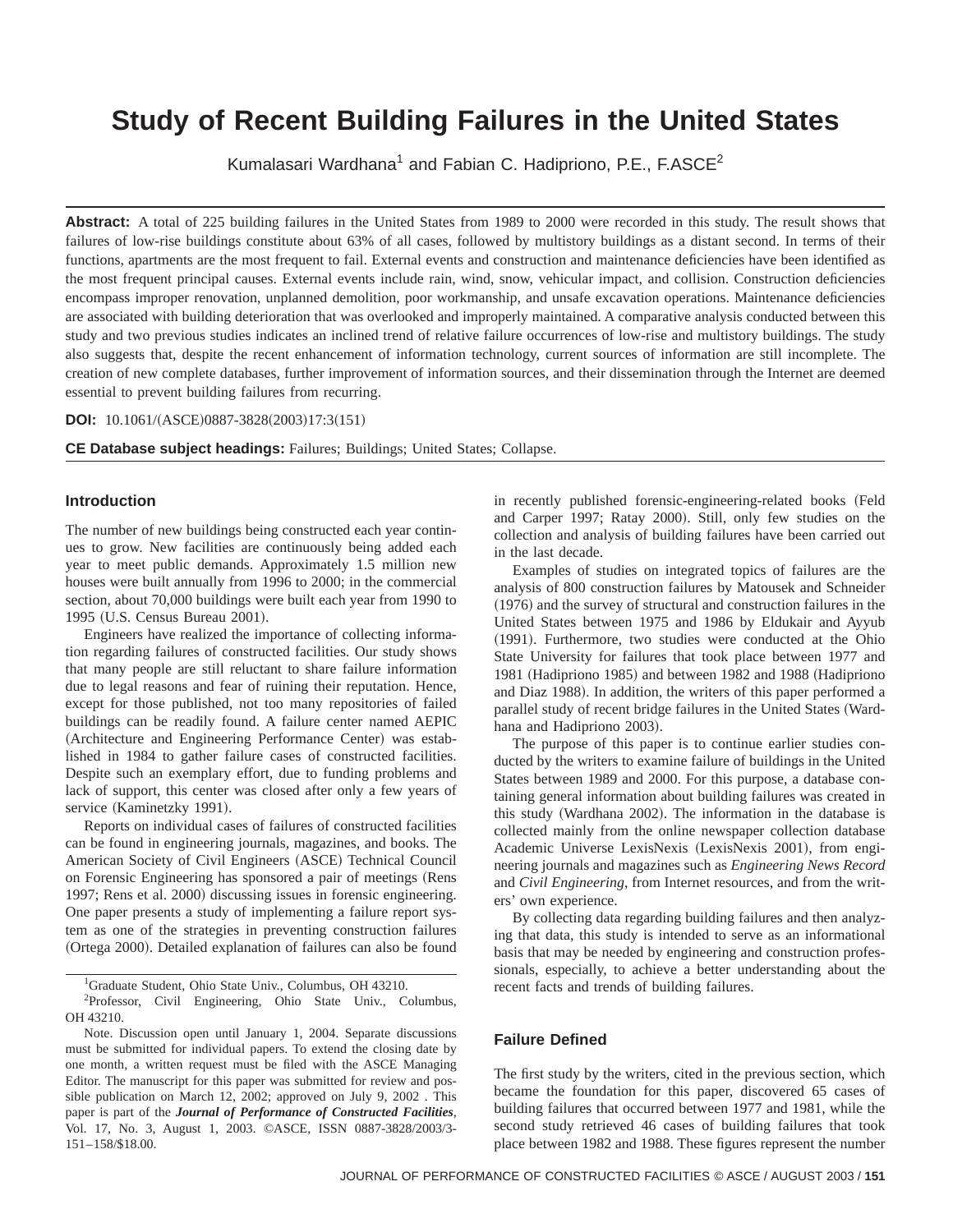# **Study of Recent Building Failures in the United States**

Kumalasari Wardhana<sup>1</sup> and Fabian C. Hadipriono, P.E., F.ASCE<sup>2</sup>

**Abstract:** A total of 225 building failures in the United States from 1989 to 2000 were recorded in this study. The result shows that failures of low-rise buildings constitute about 63% of all cases, followed by multistory buildings as a distant second. In terms of their functions, apartments are the most frequent to fail. External events and construction and maintenance deficiencies have been identified as the most frequent principal causes. External events include rain, wind, snow, vehicular impact, and collision. Construction deficiencies encompass improper renovation, unplanned demolition, poor workmanship, and unsafe excavation operations. Maintenance deficiencies are associated with building deterioration that was overlooked and improperly maintained. A comparative analysis conducted between this study and two previous studies indicates an inclined trend of relative failure occurrences of low-rise and multistory buildings. The study also suggests that, despite the recent enhancement of information technology, current sources of information are still incomplete. The creation of new complete databases, further improvement of information sources, and their dissemination through the Internet are deemed essential to prevent building failures from recurring.

**DOI:** 10.1061/(ASCE)0887-3828(2003)17:3(151)

**CE Database subject headings:** Failures; Buildings; United States; Collapse.

#### **Introduction**

The number of new buildings being constructed each year continues to grow. New facilities are continuously being added each year to meet public demands. Approximately 1.5 million new houses were built annually from 1996 to 2000; in the commercial section, about 70,000 buildings were built each year from 1990 to 1995 (U.S. Census Bureau 2001).

Engineers have realized the importance of collecting information regarding failures of constructed facilities. Our study shows that many people are still reluctant to share failure information due to legal reasons and fear of ruining their reputation. Hence, except for those published, not too many repositories of failed buildings can be readily found. A failure center named AEPIC (Architecture and Engineering Performance Center) was established in 1984 to gather failure cases of constructed facilities. Despite such an exemplary effort, due to funding problems and lack of support, this center was closed after only a few years of service (Kaminetzky 1991).

Reports on individual cases of failures of constructed facilities can be found in engineering journals, magazines, and books. The American Society of Civil Engineers (ASCE) Technical Council on Forensic Engineering has sponsored a pair of meetings (Rens 1997; Rens et al. 2000) discussing issues in forensic engineering. One paper presents a study of implementing a failure report system as one of the strategies in preventing construction failures (Ortega 2000). Detailed explanation of failures can also be found

<sup>1</sup>Graduate Student, Ohio State Univ., Columbus, OH 43210.

<sup>2</sup>Professor, Civil Engineering, Ohio State Univ., Columbus, OH 43210.

Note. Discussion open until January 1, 2004. Separate discussions must be submitted for individual papers. To extend the closing date by one month, a written request must be filed with the ASCE Managing Editor. The manuscript for this paper was submitted for review and possible publication on March 12, 2002; approved on July 9, 2002 . This paper is part of the *Journal of Performance of Constructed Facilities*, Vol. 17, No. 3, August 1, 2003. ©ASCE, ISSN 0887-3828/2003/3- 151–158/\$18.00.

in recently published forensic-engineering-related books (Feld and Carper 1997; Ratay 2000). Still, only few studies on the collection and analysis of building failures have been carried out in the last decade.

Examples of studies on integrated topics of failures are the analysis of 800 construction failures by Matousek and Schneider  $(1976)$  and the survey of structural and construction failures in the United States between 1975 and 1986 by Eldukair and Ayyub (1991). Furthermore, two studies were conducted at the Ohio State University for failures that took place between 1977 and 1981 (Hadipriono 1985) and between 1982 and 1988 (Hadipriono and Diaz 1988). In addition, the writers of this paper performed a parallel study of recent bridge failures in the United States (Wardhana and Hadipriono 2003).

The purpose of this paper is to continue earlier studies conducted by the writers to examine failure of buildings in the United States between 1989 and 2000. For this purpose, a database containing general information about building failures was created in this study (Wardhana 2002). The information in the database is collected mainly from the online newspaper collection database Academic Universe LexisNexis (LexisNexis 2001), from engineering journals and magazines such as *Engineering News Record* and *Civil Engineering*, from Internet resources, and from the writers' own experience.

By collecting data regarding building failures and then analyzing that data, this study is intended to serve as an informational basis that may be needed by engineering and construction professionals, especially, to achieve a better understanding about the recent facts and trends of building failures.

# **Failure Defined**

The first study by the writers, cited in the previous section, which became the foundation for this paper, discovered 65 cases of building failures that occurred between 1977 and 1981, while the second study retrieved 46 cases of building failures that took place between 1982 and 1988. These figures represent the number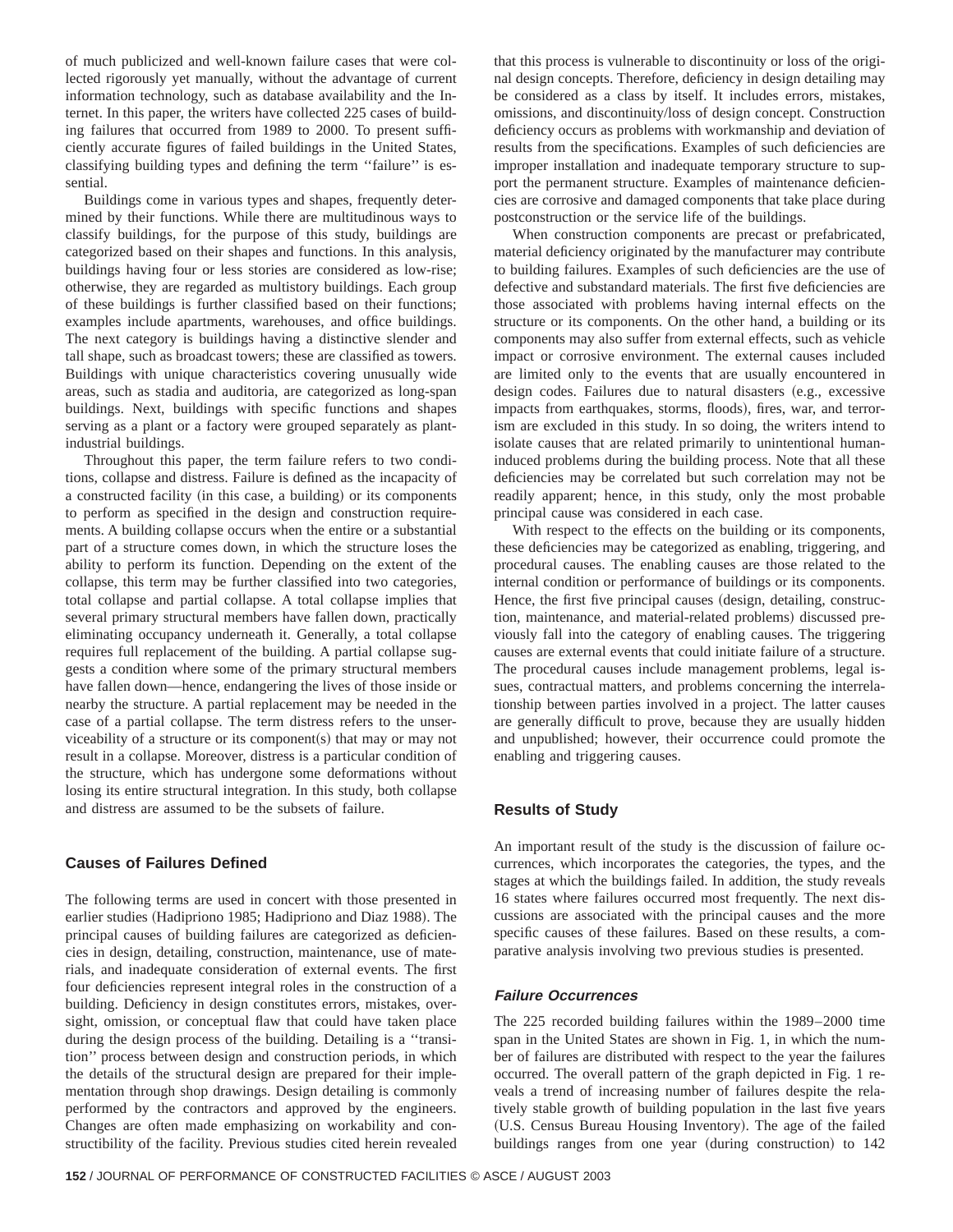of much publicized and well-known failure cases that were collected rigorously yet manually, without the advantage of current information technology, such as database availability and the Internet. In this paper, the writers have collected 225 cases of building failures that occurred from 1989 to 2000. To present sufficiently accurate figures of failed buildings in the United States, classifying building types and defining the term ''failure'' is essential.

Buildings come in various types and shapes, frequently determined by their functions. While there are multitudinous ways to classify buildings, for the purpose of this study, buildings are categorized based on their shapes and functions. In this analysis, buildings having four or less stories are considered as low-rise; otherwise, they are regarded as multistory buildings. Each group of these buildings is further classified based on their functions; examples include apartments, warehouses, and office buildings. The next category is buildings having a distinctive slender and tall shape, such as broadcast towers; these are classified as towers. Buildings with unique characteristics covering unusually wide areas, such as stadia and auditoria, are categorized as long-span buildings. Next, buildings with specific functions and shapes serving as a plant or a factory were grouped separately as plantindustrial buildings.

Throughout this paper, the term failure refers to two conditions, collapse and distress. Failure is defined as the incapacity of a constructed facility (in this case, a building) or its components to perform as specified in the design and construction requirements. A building collapse occurs when the entire or a substantial part of a structure comes down, in which the structure loses the ability to perform its function. Depending on the extent of the collapse, this term may be further classified into two categories, total collapse and partial collapse. A total collapse implies that several primary structural members have fallen down, practically eliminating occupancy underneath it. Generally, a total collapse requires full replacement of the building. A partial collapse suggests a condition where some of the primary structural members have fallen down—hence, endangering the lives of those inside or nearby the structure. A partial replacement may be needed in the case of a partial collapse. The term distress refers to the unserviceability of a structure or its component(s) that may or may not result in a collapse. Moreover, distress is a particular condition of the structure, which has undergone some deformations without losing its entire structural integration. In this study, both collapse and distress are assumed to be the subsets of failure.

# **Causes of Failures Defined**

The following terms are used in concert with those presented in earlier studies (Hadipriono 1985; Hadipriono and Diaz 1988). The principal causes of building failures are categorized as deficiencies in design, detailing, construction, maintenance, use of materials, and inadequate consideration of external events. The first four deficiencies represent integral roles in the construction of a building. Deficiency in design constitutes errors, mistakes, oversight, omission, or conceptual flaw that could have taken place during the design process of the building. Detailing is a ''transition'' process between design and construction periods, in which the details of the structural design are prepared for their implementation through shop drawings. Design detailing is commonly performed by the contractors and approved by the engineers. Changes are often made emphasizing on workability and constructibility of the facility. Previous studies cited herein revealed

that this process is vulnerable to discontinuity or loss of the original design concepts. Therefore, deficiency in design detailing may be considered as a class by itself. It includes errors, mistakes, omissions, and discontinuity/loss of design concept. Construction deficiency occurs as problems with workmanship and deviation of results from the specifications. Examples of such deficiencies are improper installation and inadequate temporary structure to support the permanent structure. Examples of maintenance deficiencies are corrosive and damaged components that take place during postconstruction or the service life of the buildings.

When construction components are precast or prefabricated, material deficiency originated by the manufacturer may contribute to building failures. Examples of such deficiencies are the use of defective and substandard materials. The first five deficiencies are those associated with problems having internal effects on the structure or its components. On the other hand, a building or its components may also suffer from external effects, such as vehicle impact or corrosive environment. The external causes included are limited only to the events that are usually encountered in design codes. Failures due to natural disasters (e.g., excessive impacts from earthquakes, storms, floods), fires, war, and terrorism are excluded in this study. In so doing, the writers intend to isolate causes that are related primarily to unintentional humaninduced problems during the building process. Note that all these deficiencies may be correlated but such correlation may not be readily apparent; hence, in this study, only the most probable principal cause was considered in each case.

With respect to the effects on the building or its components, these deficiencies may be categorized as enabling, triggering, and procedural causes. The enabling causes are those related to the internal condition or performance of buildings or its components. Hence, the first five principal causes (design, detailing, construction, maintenance, and material-related problems) discussed previously fall into the category of enabling causes. The triggering causes are external events that could initiate failure of a structure. The procedural causes include management problems, legal issues, contractual matters, and problems concerning the interrelationship between parties involved in a project. The latter causes are generally difficult to prove, because they are usually hidden and unpublished; however, their occurrence could promote the enabling and triggering causes.

## **Results of Study**

An important result of the study is the discussion of failure occurrences, which incorporates the categories, the types, and the stages at which the buildings failed. In addition, the study reveals 16 states where failures occurred most frequently. The next discussions are associated with the principal causes and the more specific causes of these failures. Based on these results, a comparative analysis involving two previous studies is presented.

## **Failure Occurrences**

The 225 recorded building failures within the 1989–2000 time span in the United States are shown in Fig. 1, in which the number of failures are distributed with respect to the year the failures occurred. The overall pattern of the graph depicted in Fig. 1 reveals a trend of increasing number of failures despite the relatively stable growth of building population in the last five years (U.S. Census Bureau Housing Inventory). The age of the failed buildings ranges from one year (during construction) to 142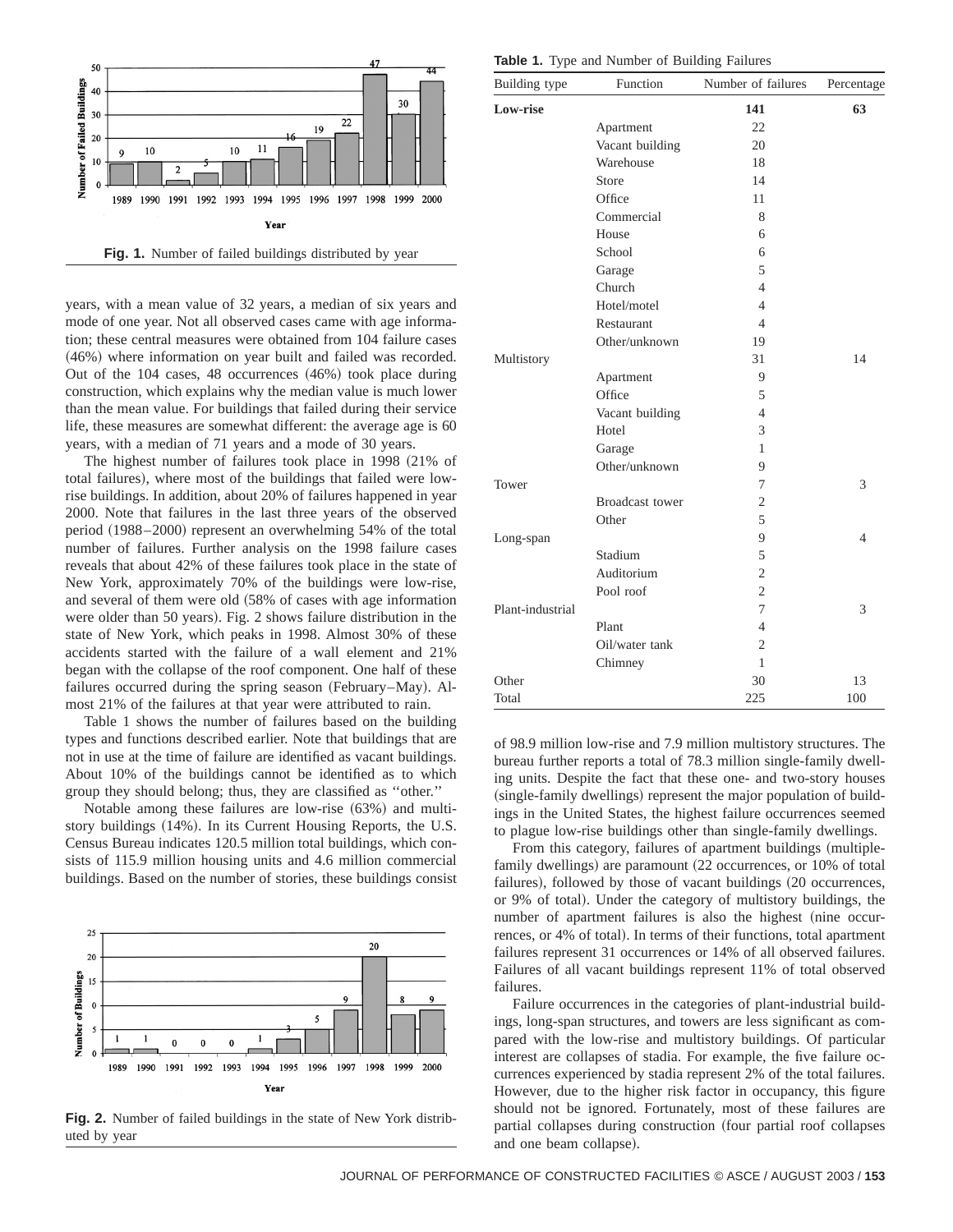

years, with a mean value of 32 years, a median of six years and mode of one year. Not all observed cases came with age information; these central measures were obtained from 104 failure cases  $(46%)$  where information on year built and failed was recorded. Out of the  $104$  cases,  $48$  occurrences  $(46%)$  took place during construction, which explains why the median value is much lower than the mean value. For buildings that failed during their service life, these measures are somewhat different: the average age is 60 years, with a median of 71 years and a mode of 30 years.

The highest number of failures took place in  $1998$   $(21\%$  of total failures), where most of the buildings that failed were lowrise buildings. In addition, about 20% of failures happened in year 2000. Note that failures in the last three years of the observed period (1988–2000) represent an overwhelming 54% of the total number of failures. Further analysis on the 1998 failure cases reveals that about 42% of these failures took place in the state of New York, approximately 70% of the buildings were low-rise, and several of them were old  $(58\%$  of cases with age information were older than 50 years). Fig. 2 shows failure distribution in the state of New York, which peaks in 1998. Almost 30% of these accidents started with the failure of a wall element and 21% began with the collapse of the roof component. One half of these failures occurred during the spring season (February–May). Almost 21% of the failures at that year were attributed to rain.

Table 1 shows the number of failures based on the building types and functions described earlier. Note that buildings that are not in use at the time of failure are identified as vacant buildings. About 10% of the buildings cannot be identified as to which group they should belong; thus, they are classified as ''other.''

Notable among these failures are low-rise  $(63%)$  and multistory buildings  $(14%)$ . In its Current Housing Reports, the U.S. Census Bureau indicates 120.5 million total buildings, which consists of 115.9 million housing units and 4.6 million commercial buildings. Based on the number of stories, these buildings consist



**Fig. 2.** Number of failed buildings in the state of New York distributed by year

**Table 1.** Type and Number of Building Failures

| Building type    | Function               | Number of failures | Percentage |
|------------------|------------------------|--------------------|------------|
| <b>Low-rise</b>  |                        | 141                | 63         |
|                  | Apartment              | 22                 |            |
|                  | Vacant building        | 20                 |            |
|                  | Warehouse              | 18                 |            |
|                  | Store                  | 14                 |            |
|                  | Office                 | 11                 |            |
|                  | Commercial             | 8                  |            |
|                  | House                  | 6                  |            |
|                  | School                 | 6                  |            |
|                  | Garage                 | 5                  |            |
|                  | Church                 | $\overline{4}$     |            |
|                  | Hotel/motel            | $\overline{4}$     |            |
|                  | Restaurant             | 4                  |            |
|                  | Other/unknown          | 19                 |            |
| Multistory       |                        | 31                 | 14         |
|                  | Apartment              | 9                  |            |
|                  | Office                 | 5                  |            |
|                  | Vacant building        | $\overline{4}$     |            |
|                  | Hotel                  | 3                  |            |
|                  | Garage                 | 1                  |            |
|                  | Other/unknown          | 9                  |            |
| Tower            |                        | 7                  | 3          |
|                  | <b>Broadcast</b> tower | $\overline{2}$     |            |
|                  | Other                  | 5                  |            |
| Long-span        |                        | 9                  | 4          |
|                  | Stadium                | 5                  |            |
|                  | Auditorium             | $\overline{2}$     |            |
|                  | Pool roof              | $\overline{2}$     |            |
| Plant-industrial |                        | 7                  | 3          |
|                  | Plant                  | 4                  |            |
|                  | Oil/water tank         | $\overline{2}$     |            |
|                  | Chimney                | 1                  |            |
| Other            |                        | 30                 | 13         |
| Total            |                        | 225                | 100        |

of 98.9 million low-rise and 7.9 million multistory structures. The bureau further reports a total of 78.3 million single-family dwelling units. Despite the fact that these one- and two-story houses (single-family dwellings) represent the major population of buildings in the United States, the highest failure occurrences seemed to plague low-rise buildings other than single-family dwellings.

From this category, failures of apartment buildings (multiplefamily dwellings) are paramount (22 occurrences, or 10% of total failures), followed by those of vacant buildings (20 occurrences, or 9% of total). Under the category of multistory buildings, the number of apartment failures is also the highest (nine occurrences, or 4% of total). In terms of their functions, total apartment failures represent 31 occurrences or 14% of all observed failures. Failures of all vacant buildings represent 11% of total observed failures.

Failure occurrences in the categories of plant-industrial buildings, long-span structures, and towers are less significant as compared with the low-rise and multistory buildings. Of particular interest are collapses of stadia. For example, the five failure occurrences experienced by stadia represent 2% of the total failures. However, due to the higher risk factor in occupancy, this figure should not be ignored. Fortunately, most of these failures are partial collapses during construction (four partial roof collapses and one beam collapse).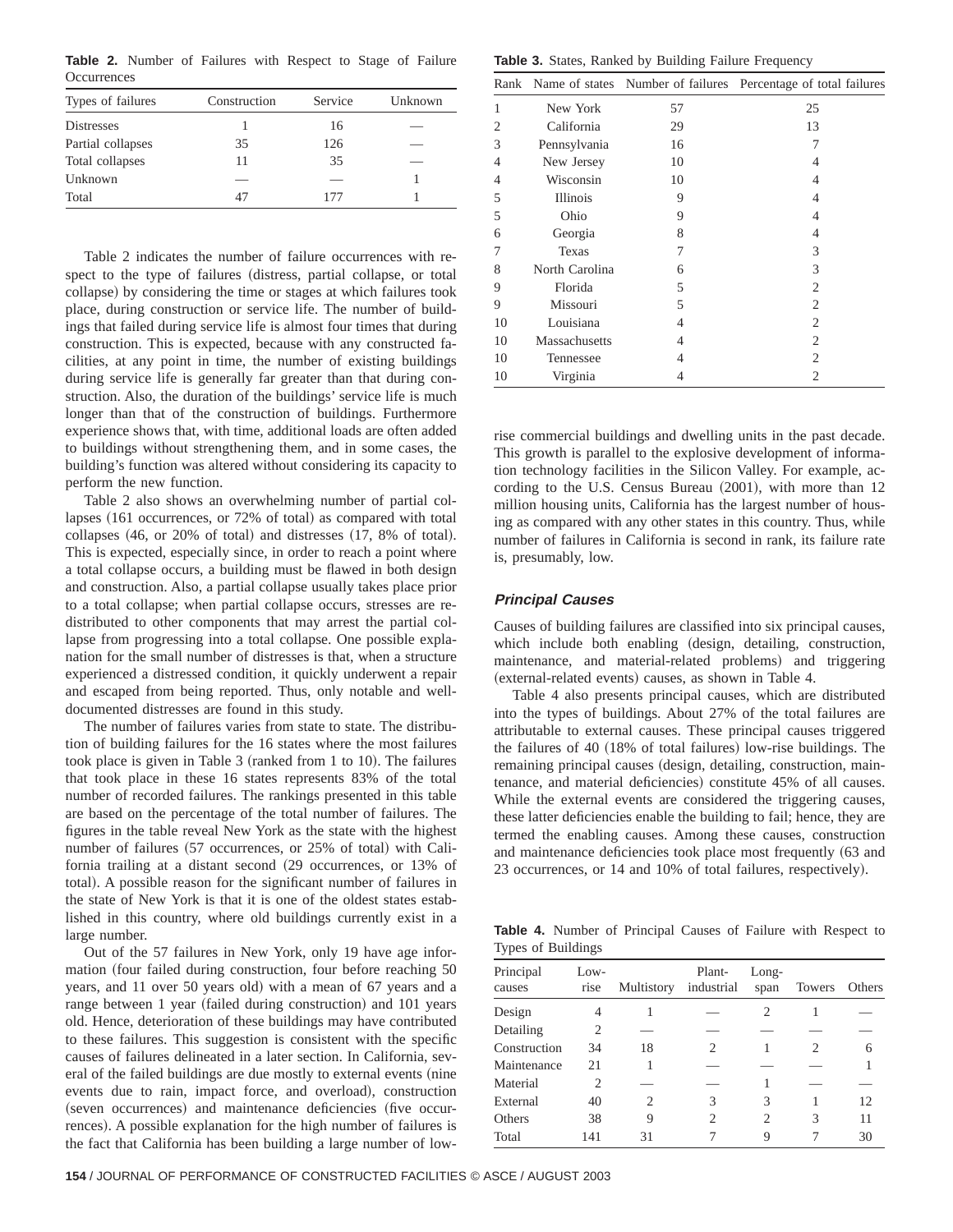**Table 2.** Number of Failures with Respect to Stage of Failure **Occurrences** 

| Types of failures | Construction | Service | Unknown |
|-------------------|--------------|---------|---------|
| <b>Distresses</b> |              | 16      |         |
| Partial collapses | 35           | 126     |         |
| Total collapses   | 11           | 35      |         |
| Unknown           |              |         |         |
| Total             | 47           | 177     |         |

Table 2 indicates the number of failure occurrences with respect to the type of failures (distress, partial collapse, or total collapse) by considering the time or stages at which failures took place, during construction or service life. The number of buildings that failed during service life is almost four times that during construction. This is expected, because with any constructed facilities, at any point in time, the number of existing buildings during service life is generally far greater than that during construction. Also, the duration of the buildings' service life is much longer than that of the construction of buildings. Furthermore experience shows that, with time, additional loads are often added to buildings without strengthening them, and in some cases, the building's function was altered without considering its capacity to perform the new function.

Table 2 also shows an overwhelming number of partial collapses (161 occurrences, or 72% of total) as compared with total  $collapses (46, or 20% of total) and distances  $(17, 8% of total)$ .$ This is expected, especially since, in order to reach a point where a total collapse occurs, a building must be flawed in both design and construction. Also, a partial collapse usually takes place prior to a total collapse; when partial collapse occurs, stresses are redistributed to other components that may arrest the partial collapse from progressing into a total collapse. One possible explanation for the small number of distresses is that, when a structure experienced a distressed condition, it quickly underwent a repair and escaped from being reported. Thus, only notable and welldocumented distresses are found in this study.

The number of failures varies from state to state. The distribution of building failures for the 16 states where the most failures took place is given in Table  $3$  (ranked from 1 to 10). The failures that took place in these 16 states represents 83% of the total number of recorded failures. The rankings presented in this table are based on the percentage of the total number of failures. The figures in the table reveal New York as the state with the highest number of failures (57 occurrences, or 25% of total) with California trailing at a distant second (29 occurrences, or 13% of total). A possible reason for the significant number of failures in the state of New York is that it is one of the oldest states established in this country, where old buildings currently exist in a large number.

Out of the 57 failures in New York, only 19 have age information (four failed during construction, four before reaching 50) years, and 11 over 50 years old) with a mean of 67 years and a range between 1 year (failed during construction) and 101 years old. Hence, deterioration of these buildings may have contributed to these failures. This suggestion is consistent with the specific causes of failures delineated in a later section. In California, several of the failed buildings are due mostly to external events (nine events due to rain, impact force, and overload), construction (seven occurrences) and maintenance deficiencies (five occurrences). A possible explanation for the high number of failures is the fact that California has been building a large number of low-

**Table 3.** States, Ranked by Building Failure Frequency

|    |                 |    | Rank Name of states Number of failures Percentage of total failures |
|----|-----------------|----|---------------------------------------------------------------------|
| 1  | New York        | 57 | 25                                                                  |
| 2  | California      | 29 | 13                                                                  |
| 3  | Pennsylvania    | 16 | 7                                                                   |
| 4  | New Jersey      | 10 | 4                                                                   |
| 4  | Wisconsin       | 10 | 4                                                                   |
| 5  | <b>Illinois</b> | 9  | 4                                                                   |
| 5  | Ohio            | 9  | 4                                                                   |
| 6  | Georgia         | 8  | 4                                                                   |
| 7  | Texas           | 7  | 3                                                                   |
| 8  | North Carolina  | 6  | 3                                                                   |
| 9  | Florida         | 5  | 2                                                                   |
| 9  | Missouri        | 5  | 2                                                                   |
| 10 | Louisiana       | 4  | 2                                                                   |
| 10 | Massachusetts   | 4  | 2                                                                   |
| 10 | Tennessee       | 4  | 2                                                                   |
| 10 | Virginia        | 4  | 2                                                                   |

rise commercial buildings and dwelling units in the past decade. This growth is parallel to the explosive development of information technology facilities in the Silicon Valley. For example, according to the U.S. Census Bureau  $(2001)$ , with more than  $12$ million housing units, California has the largest number of housing as compared with any other states in this country. Thus, while number of failures in California is second in rank, its failure rate is, presumably, low.

#### **Principal Causes**

Causes of building failures are classified into six principal causes, which include both enabling (design, detailing, construction, maintenance, and material-related problems) and triggering (external-related events) causes, as shown in Table 4.

Table 4 also presents principal causes, which are distributed into the types of buildings. About 27% of the total failures are attributable to external causes. These principal causes triggered the failures of 40  $(18\%$  of total failures) low-rise buildings. The remaining principal causes (design, detailing, construction, maintenance, and material deficiencies) constitute 45% of all causes. While the external events are considered the triggering causes, these latter deficiencies enable the building to fail; hence, they are termed the enabling causes. Among these causes, construction and maintenance deficiencies took place most frequently (63 and 23 occurrences, or 14 and 10% of total failures, respectively).

**Table 4.** Number of Principal Causes of Failure with Respect to Types of Buildings

| Principal<br>causes | $Low-$<br>rise | Multistory | Plant-<br>industrial | $Long-$<br>span | Towers | Others |
|---------------------|----------------|------------|----------------------|-----------------|--------|--------|
| Design              | 4              |            |                      | 2               |        |        |
| Detailing           | 2              |            |                      |                 |        |        |
| Construction        | 34             | 18         | 2                    |                 |        | 6      |
| Maintenance         | 21             |            |                      |                 |        |        |
| Material            | 2              |            |                      |                 |        |        |
| External            | 40             | 2          | 3                    | 3               |        | 12     |
| Others              | 38             | 9          | $\mathfrak{D}$       | $\overline{c}$  | 3      | 11     |
| Total               | 141            | 31         |                      | 9               |        | 30     |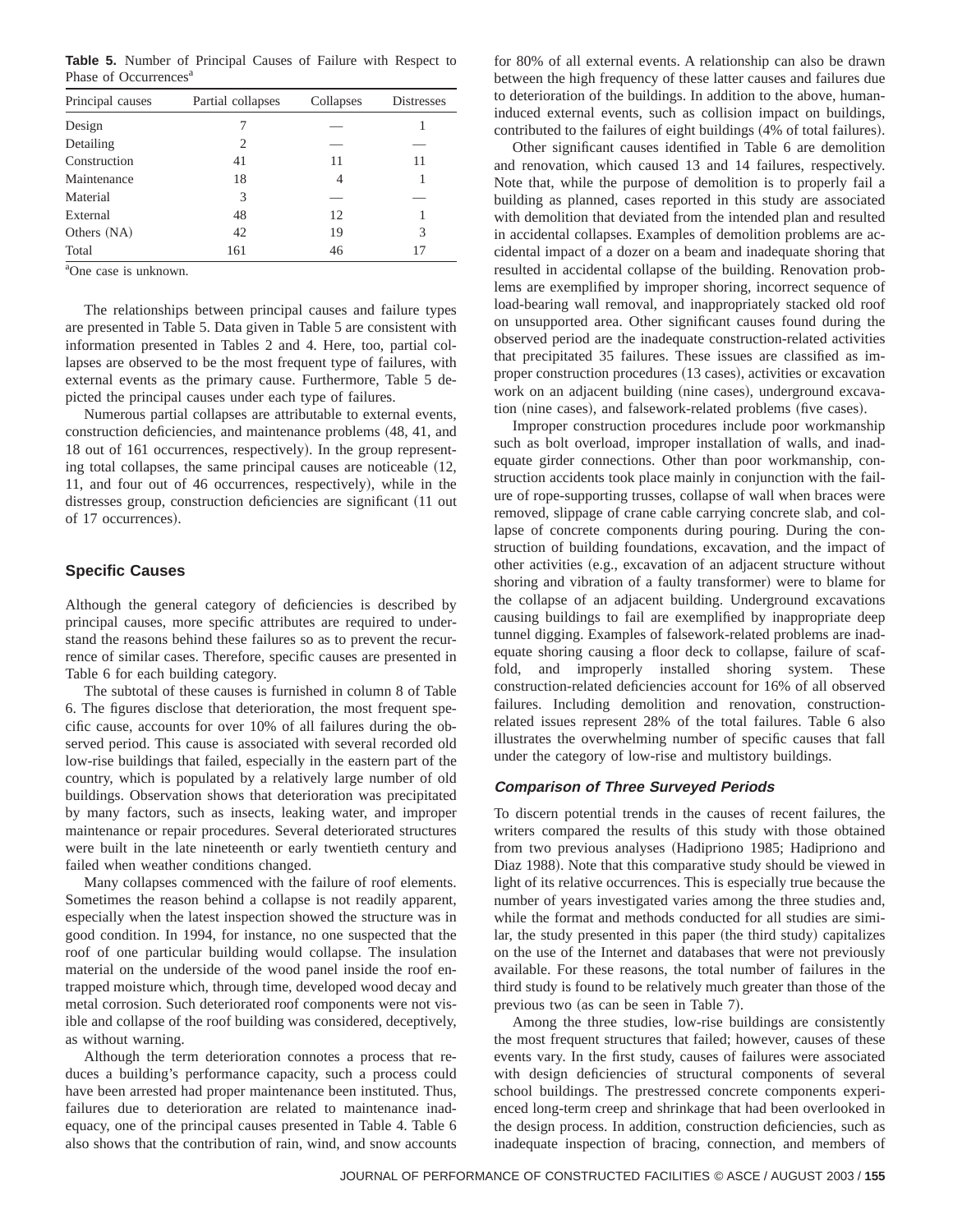**Table 5.** Number of Principal Causes of Failure with Respect to Phase of Occurrences<sup>a</sup>

| Principal causes | Partial collapses | Collapses | <b>Distresses</b> |
|------------------|-------------------|-----------|-------------------|
| Design           | 7                 |           |                   |
| Detailing        | 2                 |           |                   |
| Construction     | 41                | 11        | 11                |
| Maintenance      | 18                | 4         |                   |
| Material         | 3                 |           |                   |
| External         | 48                | 12        |                   |
| Others (NA)      | 42                | 19        | 3                 |
| Total            | 161               | 46        | 17                |

a One case is unknown.

The relationships between principal causes and failure types are presented in Table 5. Data given in Table 5 are consistent with information presented in Tables 2 and 4. Here, too, partial collapses are observed to be the most frequent type of failures, with external events as the primary cause. Furthermore, Table 5 depicted the principal causes under each type of failures.

Numerous partial collapses are attributable to external events, construction deficiencies, and maintenance problems  $(48, 41,$  and 18 out of 161 occurrences, respectively). In the group representing total collapses, the same principal causes are noticeable  $(12, 12)$ 11, and four out of 46 occurrences, respectively), while in the distresses group, construction deficiencies are significant (11 out of 17 occurrences).

## **Specific Causes**

Although the general category of deficiencies is described by principal causes, more specific attributes are required to understand the reasons behind these failures so as to prevent the recurrence of similar cases. Therefore, specific causes are presented in Table 6 for each building category.

The subtotal of these causes is furnished in column 8 of Table 6. The figures disclose that deterioration, the most frequent specific cause, accounts for over 10% of all failures during the observed period. This cause is associated with several recorded old low-rise buildings that failed, especially in the eastern part of the country, which is populated by a relatively large number of old buildings. Observation shows that deterioration was precipitated by many factors, such as insects, leaking water, and improper maintenance or repair procedures. Several deteriorated structures were built in the late nineteenth or early twentieth century and failed when weather conditions changed.

Many collapses commenced with the failure of roof elements. Sometimes the reason behind a collapse is not readily apparent, especially when the latest inspection showed the structure was in good condition. In 1994, for instance, no one suspected that the roof of one particular building would collapse. The insulation material on the underside of the wood panel inside the roof entrapped moisture which, through time, developed wood decay and metal corrosion. Such deteriorated roof components were not visible and collapse of the roof building was considered, deceptively, as without warning.

Although the term deterioration connotes a process that reduces a building's performance capacity, such a process could have been arrested had proper maintenance been instituted. Thus, failures due to deterioration are related to maintenance inadequacy, one of the principal causes presented in Table 4. Table 6 also shows that the contribution of rain, wind, and snow accounts

for 80% of all external events. A relationship can also be drawn between the high frequency of these latter causes and failures due to deterioration of the buildings. In addition to the above, humaninduced external events, such as collision impact on buildings, contributed to the failures of eight buildings  $(4%$  of total failures).

Other significant causes identified in Table 6 are demolition and renovation, which caused 13 and 14 failures, respectively. Note that, while the purpose of demolition is to properly fail a building as planned, cases reported in this study are associated with demolition that deviated from the intended plan and resulted in accidental collapses. Examples of demolition problems are accidental impact of a dozer on a beam and inadequate shoring that resulted in accidental collapse of the building. Renovation problems are exemplified by improper shoring, incorrect sequence of load-bearing wall removal, and inappropriately stacked old roof on unsupported area. Other significant causes found during the observed period are the inadequate construction-related activities that precipitated 35 failures. These issues are classified as improper construction procedures (13 cases), activities or excavation work on an adjacent building (nine cases), underground excavation (nine cases), and falsework-related problems (five cases).

Improper construction procedures include poor workmanship such as bolt overload, improper installation of walls, and inadequate girder connections. Other than poor workmanship, construction accidents took place mainly in conjunction with the failure of rope-supporting trusses, collapse of wall when braces were removed, slippage of crane cable carrying concrete slab, and collapse of concrete components during pouring. During the construction of building foundations, excavation, and the impact of other activities (e.g., excavation of an adjacent structure without shoring and vibration of a faulty transformer) were to blame for the collapse of an adjacent building. Underground excavations causing buildings to fail are exemplified by inappropriate deep tunnel digging. Examples of falsework-related problems are inadequate shoring causing a floor deck to collapse, failure of scaffold, and improperly installed shoring system. These construction-related deficiencies account for 16% of all observed failures. Including demolition and renovation, constructionrelated issues represent 28% of the total failures. Table 6 also illustrates the overwhelming number of specific causes that fall under the category of low-rise and multistory buildings.

#### **Comparison of Three Surveyed Periods**

To discern potential trends in the causes of recent failures, the writers compared the results of this study with those obtained from two previous analyses (Hadipriono 1985; Hadipriono and Diaz 1988). Note that this comparative study should be viewed in light of its relative occurrences. This is especially true because the number of years investigated varies among the three studies and, while the format and methods conducted for all studies are similar, the study presented in this paper (the third study) capitalizes on the use of the Internet and databases that were not previously available. For these reasons, the total number of failures in the third study is found to be relatively much greater than those of the previous two (as can be seen in Table 7).

Among the three studies, low-rise buildings are consistently the most frequent structures that failed; however, causes of these events vary. In the first study, causes of failures were associated with design deficiencies of structural components of several school buildings. The prestressed concrete components experienced long-term creep and shrinkage that had been overlooked in the design process. In addition, construction deficiencies, such as inadequate inspection of bracing, connection, and members of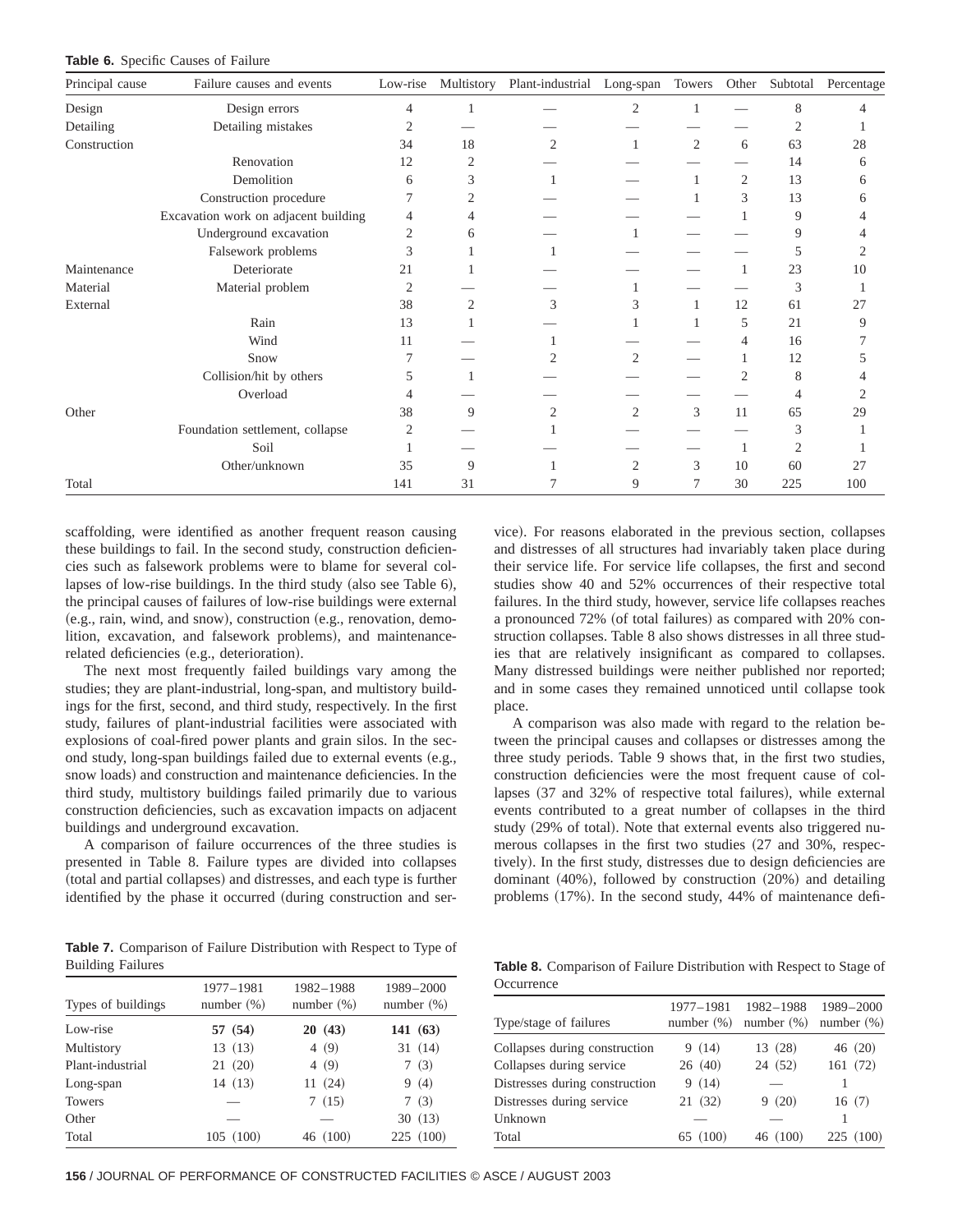| <b>Table 6.</b> Specific Causes of Failure |  |  |  |
|--------------------------------------------|--|--|--|
|--------------------------------------------|--|--|--|

| Principal cause | Failure causes and events            | Low-rise       | Multistory     | Plant-industrial | Long-span      | Towers         | Other          | Subtotal       | Percentage |
|-----------------|--------------------------------------|----------------|----------------|------------------|----------------|----------------|----------------|----------------|------------|
| Design          | Design errors                        | 4              |                |                  | 2              |                |                | 8              | 4          |
| Detailing       | Detailing mistakes                   | 2              |                |                  |                |                |                | 2              |            |
| Construction    |                                      | 34             | 18             | $\overline{2}$   |                | $\overline{2}$ | 6              | 63             | 28         |
|                 | Renovation                           | 12             | 2              |                  |                |                |                | 14             | 6          |
|                 | Demolition                           | 6              | 3              |                  |                |                | $\overline{2}$ | 13             | 6          |
|                 | Construction procedure               |                | 2              |                  |                |                | 3              | 13             | 6          |
|                 | Excavation work on adjacent building | 4              | 4              |                  |                |                |                | 9              | 4          |
|                 | Underground excavation               | 2              | 6              |                  |                |                |                | 9              |            |
|                 | Falsework problems                   | 3              |                |                  |                |                |                | 5              | 2          |
| Maintenance     | Deteriorate                          | 21             |                |                  |                |                |                | 23             | 10         |
| Material        | Material problem                     | $\overline{2}$ |                |                  |                |                |                | 3              |            |
| External        |                                      | 38             | $\overline{2}$ | 3                | 3              |                | 12             | 61             | 27         |
|                 | Rain                                 | 13             |                |                  |                |                | 5              | 21             | 9          |
|                 | Wind                                 | 11             |                |                  |                |                | 4              | 16             |            |
|                 | Snow                                 |                |                |                  | 2              |                |                | 12             |            |
|                 | Collision/hit by others              | 5              |                |                  |                |                | 2              | 8              |            |
|                 | Overload                             |                |                |                  |                |                |                | 4              |            |
| Other           |                                      | 38             | 9              | 2                | $\mathfrak{2}$ | 3              | 11             | 65             | 29         |
|                 | Foundation settlement, collapse      | $\overline{2}$ |                |                  |                |                |                | 3              |            |
|                 | Soil                                 |                |                |                  |                |                |                | $\mathfrak{2}$ |            |
|                 | Other/unknown                        | 35             | 9              |                  | $\mathfrak{2}$ | 3              | 10             | 60             | 27         |
| Total           |                                      | 141            | 31             |                  | 9              |                | 30             | 225            | 100        |

scaffolding, were identified as another frequent reason causing these buildings to fail. In the second study, construction deficiencies such as falsework problems were to blame for several collapses of low-rise buildings. In the third study (also see Table  $6$ ), the principal causes of failures of low-rise buildings were external  $(e.g., rain, wind, and snow), construction  $(e.g., \text{renovation}, \text{demo}$$ lition, excavation, and falsework problems), and maintenancerelated deficiencies (e.g., deterioration).

The next most frequently failed buildings vary among the studies; they are plant-industrial, long-span, and multistory buildings for the first, second, and third study, respectively. In the first study, failures of plant-industrial facilities were associated with explosions of coal-fired power plants and grain silos. In the second study, long-span buildings failed due to external events  $(e.g.,)$ snow loads) and construction and maintenance deficiencies. In the third study, multistory buildings failed primarily due to various construction deficiencies, such as excavation impacts on adjacent buildings and underground excavation.

A comparison of failure occurrences of the three studies is presented in Table 8. Failure types are divided into collapses (total and partial collapses) and distresses, and each type is further identified by the phase it occurred (during construction and ser-

**Table 7.** Comparison of Failure Distribution with Respect to Type of Building Failures

| Types of buildings | 1977-1981<br>number $(\%)$ | 1982-1988<br>number $(\%)$ | 1989-2000<br>number $(\%)$ |
|--------------------|----------------------------|----------------------------|----------------------------|
| Low-rise           | 57 (54)                    | 20(43)                     | 141(63)                    |
| Multistory         | 13(13)                     | 4(9)                       | 31(14)                     |
| Plant-industrial   | 21(20)                     | 4(9)                       | 7(3)                       |
| Long-span          | 14(13)                     | 11(24)                     | 9(4)                       |
| Towers             |                            | 7(15)                      | 7(3)                       |
| Other              |                            |                            | 30(13)                     |
| Total              | 105(100)                   | 46 (100)                   | 225 (100)                  |

vice). For reasons elaborated in the previous section, collapses and distresses of all structures had invariably taken place during their service life. For service life collapses, the first and second studies show 40 and 52% occurrences of their respective total failures. In the third study, however, service life collapses reaches a pronounced 72% (of total failures) as compared with 20% construction collapses. Table 8 also shows distresses in all three studies that are relatively insignificant as compared to collapses. Many distressed buildings were neither published nor reported; and in some cases they remained unnoticed until collapse took place.

A comparison was also made with regard to the relation between the principal causes and collapses or distresses among the three study periods. Table 9 shows that, in the first two studies, construction deficiencies were the most frequent cause of collapses (37 and 32% of respective total failures), while external events contributed to a great number of collapses in the third study (29% of total). Note that external events also triggered numerous collapses in the first two studies  $(27 \text{ and } 30\%$ , respectively). In the first study, distresses due to design deficiencies are dominant  $(40%)$ , followed by construction  $(20%)$  and detailing problems  $(17%)$ . In the second study, 44% of maintenance defi-

**Table 8.** Comparison of Failure Distribution with Respect to Stage of **Occurrence** 

| Type/stage of failures         | 1977-1981<br>number $(\%)$ | 1982-1988<br>number $(\%)$ | 1989-2000<br>number $(\%)$ |
|--------------------------------|----------------------------|----------------------------|----------------------------|
| Collapses during construction  | 9(14)                      | 13 (28)                    | 46(20)                     |
| Collapses during service       | 26(40)                     | 24 (52)                    | 161(72)                    |
| Distresses during construction | 9(14)                      |                            |                            |
| Distresses during service      | 21(32)                     | (20)<br>9                  | 16(7)                      |
| Unknown                        |                            |                            |                            |
| Total                          | 65 (100)                   | 46(100)                    | (100)<br>225               |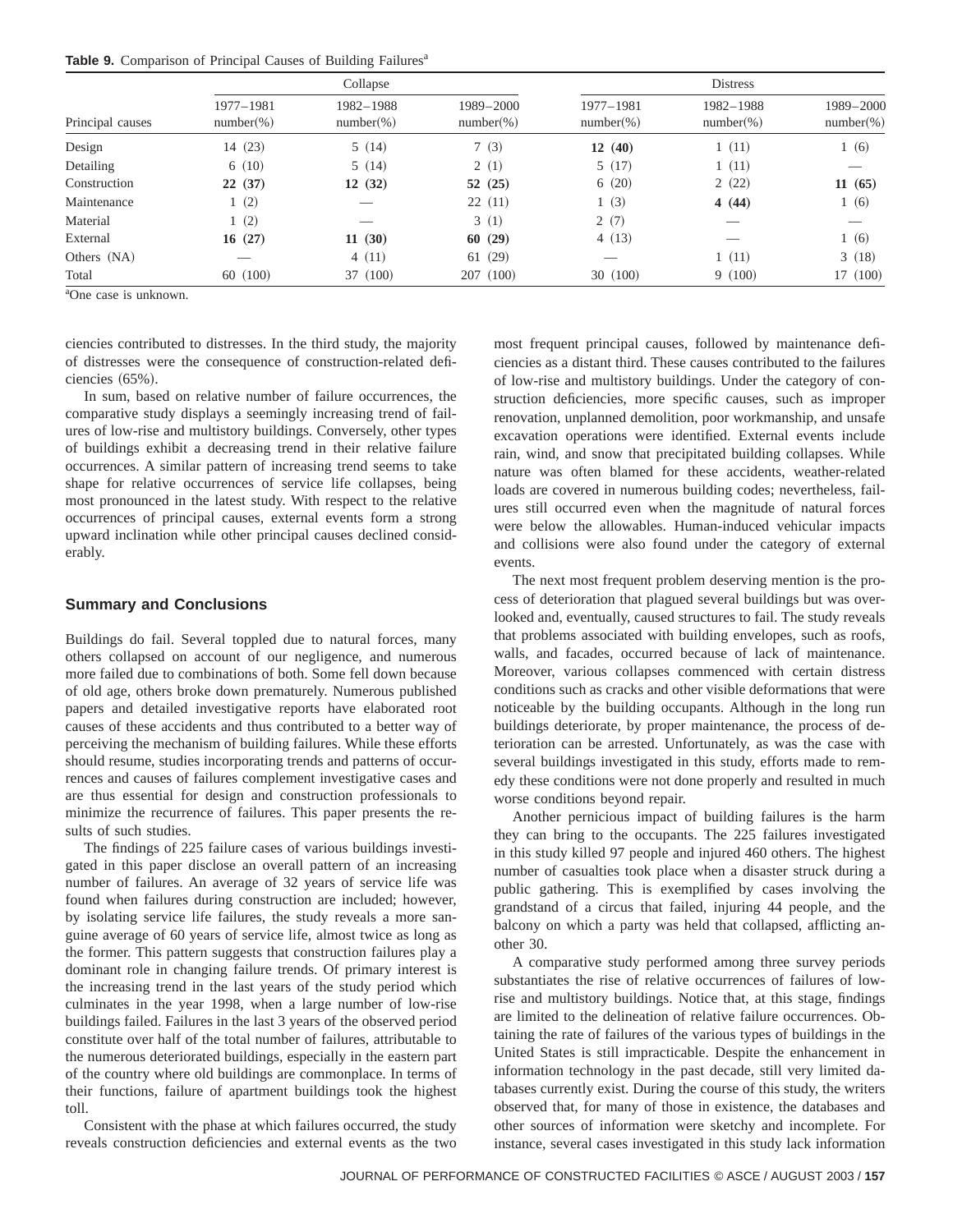|  | Table 9. Comparison of Principal Causes of Building Failures <sup>a</sup> |  |  |  |
|--|---------------------------------------------------------------------------|--|--|--|
|  |                                                                           |  |  |  |

| Principal causes |                            | Collapse                  |                           | <b>Distress</b>            |                            |                           |  |  |
|------------------|----------------------------|---------------------------|---------------------------|----------------------------|----------------------------|---------------------------|--|--|
|                  | 1977-1981<br>$number(\% )$ | 1982-1988<br>$number(\%)$ | 1989-2000<br>$number(\%)$ | 1977-1981<br>$number(\% )$ | 1982-1988<br>$number(\% )$ | 1989-2000<br>$number(\%)$ |  |  |
| Design           | 14 (23)                    | 5(14)                     | 7(3)                      | 12(40)                     | 1(11)                      | 1(6)                      |  |  |
| Detailing        | 6(10)                      | 5(14)                     | 2(1)                      | 5(17)                      | 1(11)                      |                           |  |  |
| Construction     | 22(37)                     | 12(32)                    | 52(25)                    | 6(20)                      | 2(22)                      | 11(65)                    |  |  |
| Maintenance      | 1(2)                       |                           | 22(11)                    | 1(3)                       | 4 $(44)$                   | 1(6)                      |  |  |
| Material         | 1(2)                       |                           | 3(1)                      | 2(7)                       |                            |                           |  |  |
| External         | 16(27)                     | 11(30)                    | 60(29)                    | 4(13)                      |                            | 1(6)                      |  |  |
| Others (NA)      | _                          | 4(11)                     | 61(29)                    | _                          | 1(11)                      | 3(18)                     |  |  |
| Total            | 60 (100)                   | 37 (100)                  | 207(100)                  | 30(100)                    | 9(100)                     | 17 (100)                  |  |  |

a One case is unknown.

ciencies contributed to distresses. In the third study, the majority of distresses were the consequence of construction-related deficiencies  $(65%)$ .

In sum, based on relative number of failure occurrences, the comparative study displays a seemingly increasing trend of failures of low-rise and multistory buildings. Conversely, other types of buildings exhibit a decreasing trend in their relative failure occurrences. A similar pattern of increasing trend seems to take shape for relative occurrences of service life collapses, being most pronounced in the latest study. With respect to the relative occurrences of principal causes, external events form a strong upward inclination while other principal causes declined considerably.

### **Summary and Conclusions**

Buildings do fail. Several toppled due to natural forces, many others collapsed on account of our negligence, and numerous more failed due to combinations of both. Some fell down because of old age, others broke down prematurely. Numerous published papers and detailed investigative reports have elaborated root causes of these accidents and thus contributed to a better way of perceiving the mechanism of building failures. While these efforts should resume, studies incorporating trends and patterns of occurrences and causes of failures complement investigative cases and are thus essential for design and construction professionals to minimize the recurrence of failures. This paper presents the results of such studies.

The findings of 225 failure cases of various buildings investigated in this paper disclose an overall pattern of an increasing number of failures. An average of 32 years of service life was found when failures during construction are included; however, by isolating service life failures, the study reveals a more sanguine average of 60 years of service life, almost twice as long as the former. This pattern suggests that construction failures play a dominant role in changing failure trends. Of primary interest is the increasing trend in the last years of the study period which culminates in the year 1998, when a large number of low-rise buildings failed. Failures in the last 3 years of the observed period constitute over half of the total number of failures, attributable to the numerous deteriorated buildings, especially in the eastern part of the country where old buildings are commonplace. In terms of their functions, failure of apartment buildings took the highest toll.

Consistent with the phase at which failures occurred, the study reveals construction deficiencies and external events as the two

most frequent principal causes, followed by maintenance deficiencies as a distant third. These causes contributed to the failures of low-rise and multistory buildings. Under the category of construction deficiencies, more specific causes, such as improper renovation, unplanned demolition, poor workmanship, and unsafe excavation operations were identified. External events include rain, wind, and snow that precipitated building collapses. While nature was often blamed for these accidents, weather-related loads are covered in numerous building codes; nevertheless, failures still occurred even when the magnitude of natural forces were below the allowables. Human-induced vehicular impacts and collisions were also found under the category of external events.

The next most frequent problem deserving mention is the process of deterioration that plagued several buildings but was overlooked and, eventually, caused structures to fail. The study reveals that problems associated with building envelopes, such as roofs, walls, and facades, occurred because of lack of maintenance. Moreover, various collapses commenced with certain distress conditions such as cracks and other visible deformations that were noticeable by the building occupants. Although in the long run buildings deteriorate, by proper maintenance, the process of deterioration can be arrested. Unfortunately, as was the case with several buildings investigated in this study, efforts made to remedy these conditions were not done properly and resulted in much worse conditions beyond repair.

Another pernicious impact of building failures is the harm they can bring to the occupants. The 225 failures investigated in this study killed 97 people and injured 460 others. The highest number of casualties took place when a disaster struck during a public gathering. This is exemplified by cases involving the grandstand of a circus that failed, injuring 44 people, and the balcony on which a party was held that collapsed, afflicting another 30.

A comparative study performed among three survey periods substantiates the rise of relative occurrences of failures of lowrise and multistory buildings. Notice that, at this stage, findings are limited to the delineation of relative failure occurrences. Obtaining the rate of failures of the various types of buildings in the United States is still impracticable. Despite the enhancement in information technology in the past decade, still very limited databases currently exist. During the course of this study, the writers observed that, for many of those in existence, the databases and other sources of information were sketchy and incomplete. For instance, several cases investigated in this study lack information